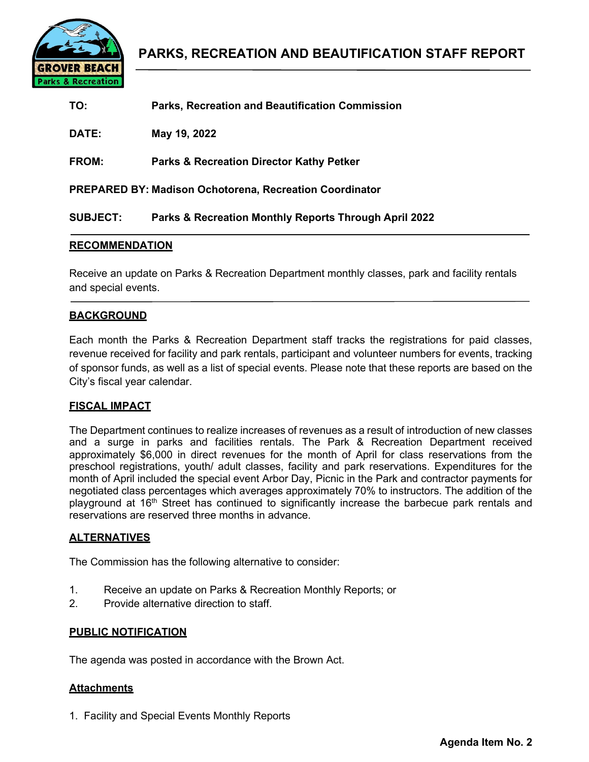

| TO:             | <b>Parks, Recreation and Beautification Commission</b>         |
|-----------------|----------------------------------------------------------------|
| DATE:           | May 19, 2022                                                   |
| <b>FROM:</b>    | <b>Parks &amp; Recreation Director Kathy Petker</b>            |
|                 | <b>PREPARED BY: Madison Ochotorena, Recreation Coordinator</b> |
| <b>SUBJECT:</b> | Parks & Recreation Monthly Reports Through April 2022          |

## **RECOMMENDATION**

Receive an update on Parks & Recreation Department monthly classes, park and facility rentals and special events.

## **BACKGROUND**

Each month the Parks & Recreation Department staff tracks the registrations for paid classes, revenue received for facility and park rentals, participant and volunteer numbers for events, tracking of sponsor funds, as well as a list of special events. Please note that these reports are based on the City's fiscal year calendar.

### **FISCAL IMPACT**

The Department continues to realize increases of revenues as a result of introduction of new classes and a surge in parks and facilities rentals. The Park & Recreation Department received approximately \$6,000 in direct revenues for the month of April for class reservations from the preschool registrations, youth/ adult classes, facility and park reservations. Expenditures for the month of April included the special event Arbor Day, Picnic in the Park and contractor payments for negotiated class percentages which averages approximately 70% to instructors. The addition of the playground at 16<sup>th</sup> Street has continued to significantly increase the barbecue park rentals and reservations are reserved three months in advance.

### **ALTERNATIVES**

The Commission has the following alternative to consider:

- 1. Receive an update on Parks & Recreation Monthly Reports; or
- 2. Provide alternative direction to staff.

### **PUBLIC NOTIFICATION**

The agenda was posted in accordance with the Brown Act.

### **Attachments**

1. Facility and Special Events Monthly Reports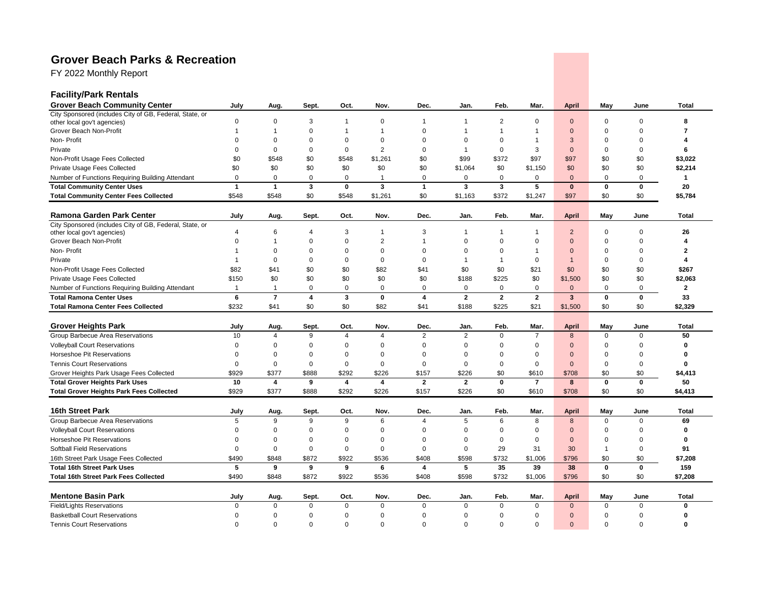# **Grover Beach Parks & Recreation**

FY 2022 Monthly Report

| <b>Facility/Park Rentals</b>                                                           |                |                |             |                         |                         |                |                |                |                |                |                |              |                |
|----------------------------------------------------------------------------------------|----------------|----------------|-------------|-------------------------|-------------------------|----------------|----------------|----------------|----------------|----------------|----------------|--------------|----------------|
| <b>Grover Beach Community Center</b>                                                   | July           | Aug.           | Sept.       | Oct.                    | Nov.                    | Dec.           | Jan.           | Feb.           | Mar.           | <b>April</b>   | May            | June         | Total          |
| City Sponsored (includes City of GB, Federal, State, or                                | $\mathbf 0$    | 0              | 3           | $\mathbf{1}$            | 0                       | $\mathbf{1}$   | 1              | $\overline{2}$ | 0              | $\mathbf{0}$   | 0              | $\mathbf 0$  | 8              |
| other local gov't agencies)<br>Grover Beach Non-Profit                                 | 1              | 1              | $\mathbf 0$ | 1                       | $\mathbf{1}$            | $\Omega$       |                | 1              | 1              | $\Omega$       | $\Omega$       | $\Omega$     | 7              |
| Non-Profit                                                                             | $\Omega$       | $\Omega$       | $\Omega$    | $\Omega$                | $\Omega$                | $\Omega$       | $\Omega$       | $\Omega$       | -1             | 3              | $\Omega$       | $\Omega$     | Δ              |
| Private                                                                                | $\Omega$       | $\Omega$       | 0           | $\mathbf 0$             | $\overline{2}$          | 0              | -1             | $\Omega$       | 3              | $\mathbf{0}$   | 0              | $\mathbf 0$  | 6              |
| Non-Profit Usage Fees Collected                                                        | \$0            | \$548          | \$0         | \$548                   | \$1,261                 | \$0            | \$99           | \$372          | \$97           | \$97           | \$0            | \$0          | \$3,022        |
| Private Usage Fees Collected                                                           | \$0            | \$0            | \$0         | \$0                     | \$0                     | \$0            | \$1,064        | \$0            | \$1.150        | \$0            | \$0            | \$0          | \$2,214        |
|                                                                                        | $\mathbf 0$    | $\mathbf 0$    | $\mathbf 0$ | $\mathbf 0$             | $\mathbf{1}$            | 0              | 0              | $\Omega$       | 0              | $\Omega$       | $\mathbf 0$    | $\mathbf 0$  | $\mathbf{1}$   |
| Number of Functions Requiring Building Attendant<br><b>Total Community Center Uses</b> | $\mathbf{1}$   | $\overline{1}$ | 3           | $\mathbf 0$             | 3                       | $\mathbf{1}$   | $\mathbf{3}$   | 3              | 5              | $\mathbf{0}$   | 0              | $\mathbf 0$  | 20             |
|                                                                                        | \$548          | \$548          | \$0         | \$548                   | \$1,261                 | \$0            | \$1,163        | \$372          | \$1,247        | \$97           | \$0            | \$0          | \$5,784        |
| <b>Total Community Center Fees Collected</b>                                           |                |                |             |                         |                         |                |                |                |                |                |                |              |                |
| <b>Ramona Garden Park Center</b>                                                       | July           | Aug.           | Sept.       | Oct.                    | Nov.                    | Dec.           | Jan.           | Feb.           | Mar.           | <b>April</b>   | May            | June         | Total          |
| City Sponsored (includes City of GB, Federal, State, or                                |                |                |             |                         |                         |                |                |                |                |                |                |              |                |
| other local gov't agencies)                                                            | $\overline{4}$ | 6              | 4           | 3                       | $\mathbf{1}$            | 3              |                | 1              | 1              | $\overline{2}$ | $\Omega$       | $\mathbf 0$  | 26             |
| Grover Beach Non-Profit                                                                | $\Omega$       |                | $\Omega$    | $\Omega$                | $\overline{2}$          | $\mathbf{1}$   | $\Omega$       | $\Omega$       | $\Omega$       | $\Omega$       | $\Omega$       | $\Omega$     |                |
| Non-Profit                                                                             | -1             | $\Omega$       | $\Omega$    | $\Omega$                | $\mathbf 0$             | $\Omega$       | $\Omega$       | $\Omega$       | -1             | $\Omega$       | $\Omega$       | $\mathbf 0$  | 2              |
| Private                                                                                | $\overline{1}$ | $\mathbf 0$    | $\mathbf 0$ | $\mathbf 0$             | $\mathbf 0$             | $\mathbf 0$    | $\mathbf 1$    | $\overline{1}$ | $\Omega$       | $\mathbf{1}$   | $\Omega$       | $\mathbf 0$  | Δ              |
| Non-Profit Usage Fees Collected                                                        | \$82           | \$41           | \$0         | \$0                     | \$82                    | \$41           | \$0            | \$0            | \$21           | \$0            | \$0            | \$0          | \$267          |
| Private Usage Fees Collected                                                           | \$150          | \$0            | \$0         | \$0                     | \$0                     | \$0            | \$188          | \$225          | \$0            | \$1,500        | \$0            | \$0          | \$2,063        |
| Number of Functions Requiring Building Attendant                                       | $\mathbf{1}$   | $\overline{1}$ | $\mathbf 0$ | $\mathbf 0$             | $\mathbf 0$             | $\mathbf 0$    | $\Omega$       | 0              | $\mathbf 0$    | $\mathbf{0}$   | $\mathbf 0$    | $\mathbf 0$  | $\overline{2}$ |
| <b>Total Ramona Center Uses</b>                                                        | 6              | $\overline{7}$ | 4           | 3                       | $\bf{0}$                | 4              | $\overline{2}$ | $\mathbf{2}$   | $\overline{2}$ | $\mathbf{3}$   | $\mathbf 0$    | $\mathbf 0$  | 33             |
| <b>Total Ramona Center Fees Collected</b>                                              | \$232          | \$41           | \$0         | \$0                     | \$82                    | \$41           | \$188          | \$225          | \$21           | \$1,500        | \$0            | \$0          | \$2,329        |
| <b>Grover Heights Park</b>                                                             | July           | Aug.           | Sept.       | Oct.                    | Nov.                    | Dec.           | Jan.           | Feb.           | Mar.           | <b>April</b>   | May            | June         | <b>Total</b>   |
| Group Barbecue Area Reservations                                                       | 10             | $\Delta$       | 9           | 4                       | $\overline{\mathbf{A}}$ | 2              | 2              | $\Omega$       | $\overline{7}$ | 8              | $\mathbf 0$    | $\mathbf 0$  | 50             |
| <b>Volleyball Court Reservations</b>                                                   | $\mathbf 0$    | 0              | $\Omega$    | $\Omega$                | $\Omega$                | $\mathbf 0$    | $\Omega$       | $\Omega$       | $\Omega$       | $\Omega$       | $\Omega$       | $\mathbf 0$  | $\Omega$       |
| Horseshoe Pit Reservations                                                             | $\Omega$       | 0              | $\Omega$    | $\Omega$                | $\Omega$                | $\Omega$       | $\Omega$       | $\Omega$       | $\Omega$       | $\Omega$       | $\Omega$       | $\Omega$     | O              |
| <b>Tennis Court Reservations</b>                                                       | $\mathbf 0$    | $\mathbf 0$    | $\mathbf 0$ | $\mathbf 0$             | $\mathbf 0$             | 0              | $\Omega$       | 0              | $\mathbf 0$    | $\mathbf{0}$   | $\mathbf 0$    | $\mathbf 0$  | $\Omega$       |
| Grover Heights Park Usage Fees Collected                                               | \$929          | \$377          | \$888       | \$292                   | \$226                   | \$157          | \$226          | \$0            | \$610          | \$708          | \$0            | \$0          | \$4,413        |
| <b>Total Grover Heights Park Uses</b>                                                  | 10             | 4              | 9           | $\overline{\mathbf{4}}$ | $\overline{\mathbf{4}}$ | $\overline{2}$ | $\mathbf{2}$   | 0              | $\overline{7}$ | 8              | $\mathbf 0$    | $\mathbf 0$  | 50             |
| <b>Total Grover Heights Park Fees Collected</b>                                        | \$929          | \$377          | \$888       | \$292                   | \$226                   | \$157          | \$226          | \$0            | \$610          | \$708          | \$0            | \$0          | \$4,413        |
| 16th Street Park                                                                       | July           | Aug.           | Sept.       | Oct.                    | Nov.                    | Dec.           | Jan.           | Feb.           | Mar.           | <b>April</b>   | May            | June         | <b>Total</b>   |
| Group Barbecue Area Reservations                                                       | 5              | 9              | 9           | 9                       | 6                       | $\overline{4}$ | 5              | 6              | 8              | 8              | $\mathbf 0$    | $\mathbf{0}$ | 69             |
| <b>Volleyball Court Reservations</b>                                                   | $\Omega$       | $\mathbf 0$    | $\Omega$    | $\mathbf 0$             | $\Omega$                | $\Omega$       | 0              | $\mathbf 0$    | $\mathbf 0$    | $\mathbf{0}$   | $\Omega$       | $\mathbf 0$  | $\Omega$       |
| Horseshoe Pit Reservations                                                             | $\Omega$       | 0              | 0           | 0                       | 0                       | 0              | 0              | 0              | 0              | $\mathbf{0}$   | $\Omega$       | $\mathbf 0$  | $\Omega$       |
| <b>Softball Field Reservations</b>                                                     | $\mathbf 0$    | 0              | 0           | $\mathbf 0$             | $\pmb{0}$               | $\mathbf 0$    | $\mathsf 0$    | 29             | 31             | 30             | $\overline{1}$ | $\mathbf 0$  | 91             |
| 16th Street Park Usage Fees Collected                                                  | \$490          | \$848          | \$872       | \$922                   | \$536                   | \$408          | \$598          | \$732          | \$1,006        | \$796          | \$0            | \$0          | \$7,208        |
| <b>Total 16th Street Park Uses</b>                                                     | 5              | 9              | 9           | 9                       | 6                       | 4              | 5              | 35             | 39             | 38             | $\mathbf{0}$   | $\mathbf{0}$ | 159            |
|                                                                                        |                |                |             | \$922                   |                         |                |                |                |                |                |                |              |                |
| <b>Total 16th Street Park Fees Collected</b>                                           | \$490          | \$848          | \$872       |                         | \$536                   | \$408          | \$598          | \$732          | \$1,006        | \$796          | \$0            | \$0          | \$7,208        |
| <b>Mentone Basin Park</b>                                                              | July           | Aug.           | Sept.       | Oct.                    | Nov.                    | Dec.           | Jan.           | Feb.           | Mar.           | <b>April</b>   | May            | June         | Total          |
| <b>Field/Lights Reservations</b>                                                       | $\Omega$       | $\Omega$       | $\Omega$    | $\Omega$                | $\Omega$                | $\Omega$       | $\Omega$       | $\Omega$       | $\Omega$       | $\Omega$       | $\Omega$       | $\Omega$     | $\Omega$       |
| <b>Basketball Court Reservations</b>                                                   | $\Omega$       | $\mathbf 0$    | $\mathbf 0$ | $\mathbf 0$             | $\mathbf 0$             | $\mathbf 0$    | $\Omega$       | $\Omega$       | $\Omega$       | $\Omega$       | 0              | $\Omega$     | O              |
| <b>Tennis Court Reservations</b>                                                       | $\mathbf 0$    | $\mathbf 0$    | $\mathbf 0$ | $\mathbf 0$             | $\mathbf 0$             | $\mathbf 0$    | $\Omega$       | $\Omega$       | $\Omega$       | $\Omega$       | $\Omega$       | $\mathbf 0$  | $\Omega$       |
|                                                                                        |                |                |             |                         |                         |                |                |                |                |                |                |              |                |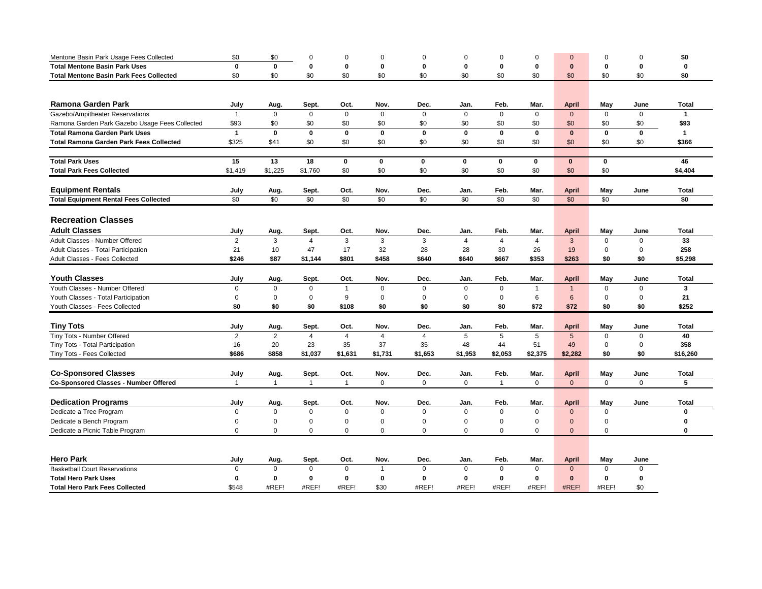| $\mathbf{0}$<br><b>Total Mentone Basin Park Uses</b><br>$\mathbf{0}$<br>$\mathbf 0$<br>0<br>$\mathbf 0$<br>0<br>0<br>0<br>$\mathbf 0$<br>0<br>0<br>$\mathbf{0}$<br>0<br>\$0<br>\$0<br><b>Total Mentone Basin Park Fees Collected</b><br>\$0<br>\$0<br>\$0<br>\$0<br>\$0<br>\$0<br>\$0<br>\$0<br>\$0<br>\$0<br>\$0<br><b>Ramona Garden Park</b><br>Feb.<br>Mar.<br>May<br>July<br>Aug.<br>Sept.<br>Oct.<br>Nov.<br>Dec.<br>Jan.<br><b>April</b><br>June<br>Total<br>$\Omega$<br>$\mathbf 0$<br>Gazebo/Ampitheater Reservations<br>$\mathbf{1}$<br>$\Omega$<br>$\Omega$<br>$\Omega$<br>$\mathbf{0}$<br>$\Omega$<br>$\Omega$<br>$\mathbf 0$<br>$\mathbf{0}$<br>$\mathbf 0$<br>$\mathbf{1}$<br>\$93<br>\$0<br>\$93<br>Ramona Garden Park Gazebo Usage Fees Collected<br>\$0<br>\$0<br>\$0<br>\$0<br>\$0<br>\$0<br>\$0<br>\$0<br>\$0<br>\$0<br>$\mathbf{1}$<br>$\mathbf 0$<br>$\mathbf 0$<br>$\mathbf{0}$<br>$\mathbf 0$<br>$\mathbf 0$<br>$\mathbf 0$<br>$\mathbf{0}$<br>$\mathbf 0$<br>$\mathbf 0$<br><b>Total Ramona Garden Park Uses</b><br>$\mathbf 0$<br>$\mathbf 0$<br>$\blacktriangleleft$<br>\$0<br>\$325<br>\$0<br>\$0<br>\$0<br>\$0<br>\$0<br>\$0<br>\$0<br>\$0<br>\$0<br>\$366<br><b>Total Ramona Garden Park Fees Collected</b><br>\$41<br><b>Total Park Uses</b><br>15<br>13<br>18<br>0<br>0<br>0<br>$\mathbf 0$<br>$\mathbf 0$<br>$\mathbf 0$<br>$\mathbf{0}$<br>0<br>46<br><b>Total Park Fees Collected</b><br>\$1,225<br>\$1,760<br>\$0<br>\$0<br>\$0<br>\$0<br>\$0<br>\$0<br>\$0<br>\$0<br>\$4,404<br>\$1,419 | Mentone Basin Park Usage Fees Collected | \$0 | \$0 | $\Omega$ | $\Omega$ | $\Omega$ | $\mathbf 0$ | $\Omega$ | $\Omega$ | $\Omega$ | $\Omega$ | $\mathbf 0$ | $\Omega$ | \$0      |
|----------------------------------------------------------------------------------------------------------------------------------------------------------------------------------------------------------------------------------------------------------------------------------------------------------------------------------------------------------------------------------------------------------------------------------------------------------------------------------------------------------------------------------------------------------------------------------------------------------------------------------------------------------------------------------------------------------------------------------------------------------------------------------------------------------------------------------------------------------------------------------------------------------------------------------------------------------------------------------------------------------------------------------------------------------------------------------------------------------------------------------------------------------------------------------------------------------------------------------------------------------------------------------------------------------------------------------------------------------------------------------------------------------------------------------------------------------------------------------------------------------------------------|-----------------------------------------|-----|-----|----------|----------|----------|-------------|----------|----------|----------|----------|-------------|----------|----------|
|                                                                                                                                                                                                                                                                                                                                                                                                                                                                                                                                                                                                                                                                                                                                                                                                                                                                                                                                                                                                                                                                                                                                                                                                                                                                                                                                                                                                                                                                                                                            |                                         |     |     |          |          |          |             |          |          |          |          |             |          |          |
|                                                                                                                                                                                                                                                                                                                                                                                                                                                                                                                                                                                                                                                                                                                                                                                                                                                                                                                                                                                                                                                                                                                                                                                                                                                                                                                                                                                                                                                                                                                            |                                         |     |     |          |          |          |             |          |          |          |          |             |          |          |
|                                                                                                                                                                                                                                                                                                                                                                                                                                                                                                                                                                                                                                                                                                                                                                                                                                                                                                                                                                                                                                                                                                                                                                                                                                                                                                                                                                                                                                                                                                                            |                                         |     |     |          |          |          |             |          |          |          |          |             |          |          |
|                                                                                                                                                                                                                                                                                                                                                                                                                                                                                                                                                                                                                                                                                                                                                                                                                                                                                                                                                                                                                                                                                                                                                                                                                                                                                                                                                                                                                                                                                                                            |                                         |     |     |          |          |          |             |          |          |          |          |             |          |          |
|                                                                                                                                                                                                                                                                                                                                                                                                                                                                                                                                                                                                                                                                                                                                                                                                                                                                                                                                                                                                                                                                                                                                                                                                                                                                                                                                                                                                                                                                                                                            |                                         |     |     |          |          |          |             |          |          |          |          |             |          |          |
|                                                                                                                                                                                                                                                                                                                                                                                                                                                                                                                                                                                                                                                                                                                                                                                                                                                                                                                                                                                                                                                                                                                                                                                                                                                                                                                                                                                                                                                                                                                            |                                         |     |     |          |          |          |             |          |          |          |          |             |          |          |
|                                                                                                                                                                                                                                                                                                                                                                                                                                                                                                                                                                                                                                                                                                                                                                                                                                                                                                                                                                                                                                                                                                                                                                                                                                                                                                                                                                                                                                                                                                                            |                                         |     |     |          |          |          |             |          |          |          |          |             |          |          |
|                                                                                                                                                                                                                                                                                                                                                                                                                                                                                                                                                                                                                                                                                                                                                                                                                                                                                                                                                                                                                                                                                                                                                                                                                                                                                                                                                                                                                                                                                                                            |                                         |     |     |          |          |          |             |          |          |          |          |             |          |          |
|                                                                                                                                                                                                                                                                                                                                                                                                                                                                                                                                                                                                                                                                                                                                                                                                                                                                                                                                                                                                                                                                                                                                                                                                                                                                                                                                                                                                                                                                                                                            |                                         |     |     |          |          |          |             |          |          |          |          |             |          |          |
|                                                                                                                                                                                                                                                                                                                                                                                                                                                                                                                                                                                                                                                                                                                                                                                                                                                                                                                                                                                                                                                                                                                                                                                                                                                                                                                                                                                                                                                                                                                            |                                         |     |     |          |          |          |             |          |          |          |          |             |          |          |
|                                                                                                                                                                                                                                                                                                                                                                                                                                                                                                                                                                                                                                                                                                                                                                                                                                                                                                                                                                                                                                                                                                                                                                                                                                                                                                                                                                                                                                                                                                                            |                                         |     |     |          |          |          |             |          |          |          |          |             |          |          |
|                                                                                                                                                                                                                                                                                                                                                                                                                                                                                                                                                                                                                                                                                                                                                                                                                                                                                                                                                                                                                                                                                                                                                                                                                                                                                                                                                                                                                                                                                                                            |                                         |     |     |          |          |          |             |          |          |          |          |             |          |          |
| <b>Equipment Rentals</b><br>May<br>July<br>Oct.<br>Nov.<br>Dec.<br>Jan.<br>Feb.<br>Mar.<br><b>April</b><br>June<br>Total<br>Aug.<br>Sept.                                                                                                                                                                                                                                                                                                                                                                                                                                                                                                                                                                                                                                                                                                                                                                                                                                                                                                                                                                                                                                                                                                                                                                                                                                                                                                                                                                                  |                                         |     |     |          |          |          |             |          |          |          |          |             |          |          |
| \$0<br>\$0<br>\$0<br>\$0<br>\$0<br>\$0<br>\$0<br>\$0<br>\$0<br>\$0<br>\$0<br>\$0<br><b>Total Equipment Rental Fees Collected</b>                                                                                                                                                                                                                                                                                                                                                                                                                                                                                                                                                                                                                                                                                                                                                                                                                                                                                                                                                                                                                                                                                                                                                                                                                                                                                                                                                                                           |                                         |     |     |          |          |          |             |          |          |          |          |             |          |          |
|                                                                                                                                                                                                                                                                                                                                                                                                                                                                                                                                                                                                                                                                                                                                                                                                                                                                                                                                                                                                                                                                                                                                                                                                                                                                                                                                                                                                                                                                                                                            |                                         |     |     |          |          |          |             |          |          |          |          |             |          |          |
| <b>Recreation Classes</b>                                                                                                                                                                                                                                                                                                                                                                                                                                                                                                                                                                                                                                                                                                                                                                                                                                                                                                                                                                                                                                                                                                                                                                                                                                                                                                                                                                                                                                                                                                  |                                         |     |     |          |          |          |             |          |          |          |          |             |          |          |
| <b>Adult Classes</b><br>July<br>Sept.<br>Oct.<br>Nov.<br>Dec.<br>Jan.<br>Feb.<br>Mar.<br><b>April</b><br>May<br>June<br>Total<br>Aug.                                                                                                                                                                                                                                                                                                                                                                                                                                                                                                                                                                                                                                                                                                                                                                                                                                                                                                                                                                                                                                                                                                                                                                                                                                                                                                                                                                                      |                                         |     |     |          |          |          |             |          |          |          |          |             |          |          |
| Adult Classes - Number Offered<br>$\overline{2}$<br>3<br>$\overline{4}$<br>3<br>3<br>3<br>3<br>$\pmb{0}$<br>$\mathsf 0$<br>33<br>4<br>$\overline{4}$<br>4                                                                                                                                                                                                                                                                                                                                                                                                                                                                                                                                                                                                                                                                                                                                                                                                                                                                                                                                                                                                                                                                                                                                                                                                                                                                                                                                                                  |                                         |     |     |          |          |          |             |          |          |          |          |             |          |          |
| Adult Classes - Total Participation<br>21<br>47<br>17<br>32<br>28<br>28<br>26<br>19<br>$\mathbf 0$<br>$\mathbf 0$<br>258<br>10<br>30                                                                                                                                                                                                                                                                                                                                                                                                                                                                                                                                                                                                                                                                                                                                                                                                                                                                                                                                                                                                                                                                                                                                                                                                                                                                                                                                                                                       |                                         |     |     |          |          |          |             |          |          |          |          |             |          |          |
| Adult Classes - Fees Collected<br>\$246<br>\$801<br>\$458<br>\$263<br>\$0<br>\$0<br>\$5,298<br>\$87<br>\$1,144<br>\$640<br>\$640<br>\$667<br>\$353                                                                                                                                                                                                                                                                                                                                                                                                                                                                                                                                                                                                                                                                                                                                                                                                                                                                                                                                                                                                                                                                                                                                                                                                                                                                                                                                                                         |                                         |     |     |          |          |          |             |          |          |          |          |             |          |          |
|                                                                                                                                                                                                                                                                                                                                                                                                                                                                                                                                                                                                                                                                                                                                                                                                                                                                                                                                                                                                                                                                                                                                                                                                                                                                                                                                                                                                                                                                                                                            |                                         |     |     |          |          |          |             |          |          |          |          |             |          |          |
| <b>Youth Classes</b><br>July<br>Jan.<br>Mar.<br>May<br><b>Total</b><br>Sept.<br>Oct.<br>Nov.<br>Dec.<br>Feb.<br><b>April</b><br>June<br>Aug.                                                                                                                                                                                                                                                                                                                                                                                                                                                                                                                                                                                                                                                                                                                                                                                                                                                                                                                                                                                                                                                                                                                                                                                                                                                                                                                                                                               |                                         |     |     |          |          |          |             |          |          |          |          |             |          |          |
| Youth Classes - Number Offered<br>0<br>$\mathbf 0$<br>$\mathbf 0$<br>$\overline{1}$<br>$\mathbf 0$<br>$\mathbf 0$<br>$\mathbf 0$<br>$\mathbf 0$<br>$\mathbf{1}$<br>$\mathbf{1}$<br>$\mathbf 0$<br>$\Omega$<br>3                                                                                                                                                                                                                                                                                                                                                                                                                                                                                                                                                                                                                                                                                                                                                                                                                                                                                                                                                                                                                                                                                                                                                                                                                                                                                                            |                                         |     |     |          |          |          |             |          |          |          |          |             |          |          |
| Youth Classes - Total Participation<br>$\pmb{0}$<br>$\mathbf 0$<br>$\mathbf 0$<br>9<br>0<br>$\mathbf 0$<br>$\mathbf 0$<br>$\mathbf 0$<br>6<br>$6\phantom{1}$<br>$\mathbf 0$<br>$\mathbf 0$<br>21                                                                                                                                                                                                                                                                                                                                                                                                                                                                                                                                                                                                                                                                                                                                                                                                                                                                                                                                                                                                                                                                                                                                                                                                                                                                                                                           |                                         |     |     |          |          |          |             |          |          |          |          |             |          |          |
| Youth Classes - Fees Collected<br>\$0<br>\$252<br>\$0<br>\$0<br>\$0<br>\$108<br>\$0<br>\$0<br>\$0<br>\$72<br>\$72<br>\$0<br>\$0                                                                                                                                                                                                                                                                                                                                                                                                                                                                                                                                                                                                                                                                                                                                                                                                                                                                                                                                                                                                                                                                                                                                                                                                                                                                                                                                                                                            |                                         |     |     |          |          |          |             |          |          |          |          |             |          |          |
|                                                                                                                                                                                                                                                                                                                                                                                                                                                                                                                                                                                                                                                                                                                                                                                                                                                                                                                                                                                                                                                                                                                                                                                                                                                                                                                                                                                                                                                                                                                            |                                         |     |     |          |          |          |             |          |          |          |          |             |          |          |
| <b>Tiny Tots</b><br>July<br>Jan.<br>Mar.<br><b>April</b><br>May<br><b>Total</b><br>Aug.<br>Sept.<br>Oct.<br>Nov.<br>Dec.<br>Feb.<br>June                                                                                                                                                                                                                                                                                                                                                                                                                                                                                                                                                                                                                                                                                                                                                                                                                                                                                                                                                                                                                                                                                                                                                                                                                                                                                                                                                                                   |                                         |     |     |          |          |          |             |          |          |          |          |             |          |          |
| Tiny Tots - Number Offered<br>2<br>2<br>$\overline{4}$<br>$\overline{4}$<br>$\overline{4}$<br>$\overline{4}$<br>5<br>5<br>5<br>5<br>$\mathbf 0$<br>40<br>$\mathbf 0$                                                                                                                                                                                                                                                                                                                                                                                                                                                                                                                                                                                                                                                                                                                                                                                                                                                                                                                                                                                                                                                                                                                                                                                                                                                                                                                                                       |                                         |     |     |          |          |          |             |          |          |          |          |             |          |          |
| Tiny Tots - Total Participation<br>20<br>37<br>35<br>48<br>358<br>16<br>23<br>35<br>44<br>51<br>49<br>$\mathbf 0$<br>$\Omega$                                                                                                                                                                                                                                                                                                                                                                                                                                                                                                                                                                                                                                                                                                                                                                                                                                                                                                                                                                                                                                                                                                                                                                                                                                                                                                                                                                                              |                                         |     |     |          |          |          |             |          |          |          |          |             |          |          |
| Tiny Tots - Fees Collected<br>\$686<br>\$858<br>\$1,653<br>\$2,282<br>\$0<br>\$0<br>\$1,037<br>\$1,631<br>\$1,731<br>\$1,953<br>\$2,053<br>\$2,375                                                                                                                                                                                                                                                                                                                                                                                                                                                                                                                                                                                                                                                                                                                                                                                                                                                                                                                                                                                                                                                                                                                                                                                                                                                                                                                                                                         |                                         |     |     |          |          |          |             |          |          |          |          |             |          | \$16,260 |
|                                                                                                                                                                                                                                                                                                                                                                                                                                                                                                                                                                                                                                                                                                                                                                                                                                                                                                                                                                                                                                                                                                                                                                                                                                                                                                                                                                                                                                                                                                                            |                                         |     |     |          |          |          |             |          |          |          |          |             |          |          |
| <b>Co-Sponsored Classes</b><br>Mar.<br><b>Total</b><br>July<br>Sept.<br>Oct.<br>Nov.<br>Dec.<br>Jan.<br>Feb.<br><b>April</b><br>May<br>June<br>Aug.                                                                                                                                                                                                                                                                                                                                                                                                                                                                                                                                                                                                                                                                                                                                                                                                                                                                                                                                                                                                                                                                                                                                                                                                                                                                                                                                                                        |                                         |     |     |          |          |          |             |          |          |          |          |             |          |          |
| Co-Sponsored Classes - Number Offered<br>$\mathbf 0$<br>$\mathbf 0$<br>5<br>$\mathbf{1}$<br>$\mathbf{1}$<br>$\mathbf{1}$<br>$\overline{1}$<br>$\mathbf{0}$<br>$\mathbf 0$<br>$\overline{1}$<br>$\mathbf 0$<br>$\mathbf{0}$<br>$\mathbf 0$                                                                                                                                                                                                                                                                                                                                                                                                                                                                                                                                                                                                                                                                                                                                                                                                                                                                                                                                                                                                                                                                                                                                                                                                                                                                                  |                                         |     |     |          |          |          |             |          |          |          |          |             |          |          |
|                                                                                                                                                                                                                                                                                                                                                                                                                                                                                                                                                                                                                                                                                                                                                                                                                                                                                                                                                                                                                                                                                                                                                                                                                                                                                                                                                                                                                                                                                                                            |                                         |     |     |          |          |          |             |          |          |          |          |             |          |          |
| <b>Dedication Programs</b><br>Feb.<br>Total<br>July<br>Sept.<br>Oct.<br>Nov.<br>Dec.<br>Jan.<br>Mar.<br><b>April</b><br>May<br>June<br>Aug.                                                                                                                                                                                                                                                                                                                                                                                                                                                                                                                                                                                                                                                                                                                                                                                                                                                                                                                                                                                                                                                                                                                                                                                                                                                                                                                                                                                |                                         |     |     |          |          |          |             |          |          |          |          |             |          |          |
| Dedicate a Tree Program<br>$\mathbf 0$<br>$\pmb{0}$<br>$\mathbf 0$<br>$\mathsf 0$<br>$\mathbf 0$<br>$\mathbf 0$<br>$\mathbf 0$<br>$\mathbf{0}$<br>$\mathbf 0$<br>$\mathbf 0$<br>$\mathbf 0$<br>$\bf{0}$                                                                                                                                                                                                                                                                                                                                                                                                                                                                                                                                                                                                                                                                                                                                                                                                                                                                                                                                                                                                                                                                                                                                                                                                                                                                                                                    |                                         |     |     |          |          |          |             |          |          |          |          |             |          |          |
| Dedicate a Bench Program<br>$\pmb{0}$<br>$\pmb{0}$<br>0<br>$\mathbf 0$<br>$\pmb{0}$<br>$\Omega$<br>$\mathbf 0$<br>0<br>$\mathbf 0$<br>0<br>$\mathbf 0$<br>0                                                                                                                                                                                                                                                                                                                                                                                                                                                                                                                                                                                                                                                                                                                                                                                                                                                                                                                                                                                                                                                                                                                                                                                                                                                                                                                                                                |                                         |     |     |          |          |          |             |          |          |          |          |             |          |          |
| Dedicate a Picnic Table Program<br>$\mathbf 0$<br>$\mathbf 0$<br>$\mathbf 0$<br>$\mathbf 0$<br>$\mathbf 0$<br>$\mathbf 0$<br>$\mathbf 0$<br>$\Omega$<br>$\mathbf 0$<br>$\mathbf 0$<br>$\mathbf{0}$<br>$\bf{0}$                                                                                                                                                                                                                                                                                                                                                                                                                                                                                                                                                                                                                                                                                                                                                                                                                                                                                                                                                                                                                                                                                                                                                                                                                                                                                                             |                                         |     |     |          |          |          |             |          |          |          |          |             |          |          |
|                                                                                                                                                                                                                                                                                                                                                                                                                                                                                                                                                                                                                                                                                                                                                                                                                                                                                                                                                                                                                                                                                                                                                                                                                                                                                                                                                                                                                                                                                                                            |                                         |     |     |          |          |          |             |          |          |          |          |             |          |          |
| <b>Hero Park</b><br>July<br>Sept.<br>Oct.<br>Nov.<br>Dec.<br>Jan.<br>Feb.<br>Mar.<br><b>April</b><br>May<br>Aug.<br>June                                                                                                                                                                                                                                                                                                                                                                                                                                                                                                                                                                                                                                                                                                                                                                                                                                                                                                                                                                                                                                                                                                                                                                                                                                                                                                                                                                                                   |                                         |     |     |          |          |          |             |          |          |          |          |             |          |          |
| <b>Basketball Court Reservations</b><br>$\mathbf 0$<br>$\mathbf 0$<br>$\mathbf{0}$<br>$\mathbf 0$<br>$\mathbf 0$<br>$\mathbf 0$<br>$\mathbf 0$<br>$\mathbf{0}$<br>$\mathbf{1}$<br>$\mathbf 0$<br>$\mathbf 0$<br>$\mathbf 0$                                                                                                                                                                                                                                                                                                                                                                                                                                                                                                                                                                                                                                                                                                                                                                                                                                                                                                                                                                                                                                                                                                                                                                                                                                                                                                |                                         |     |     |          |          |          |             |          |          |          |          |             |          |          |
| $\bf{0}$<br>$\mathbf 0$<br>0<br>0<br>$\mathbf 0$<br>$\mathbf 0$<br><b>Total Hero Park Uses</b><br>$\mathbf 0$<br>0<br>0<br>0<br>$\bf{0}$<br>$\mathbf{0}$                                                                                                                                                                                                                                                                                                                                                                                                                                                                                                                                                                                                                                                                                                                                                                                                                                                                                                                                                                                                                                                                                                                                                                                                                                                                                                                                                                   |                                         |     |     |          |          |          |             |          |          |          |          |             |          |          |
| <b>Total Hero Park Fees Collected</b><br>\$548<br>#REF!<br>#REF!<br>#REF!<br>\$30<br>#REF!<br>#REF!<br>#REF!<br>#REF!<br>#REF!<br>#REF!<br>\$0                                                                                                                                                                                                                                                                                                                                                                                                                                                                                                                                                                                                                                                                                                                                                                                                                                                                                                                                                                                                                                                                                                                                                                                                                                                                                                                                                                             |                                         |     |     |          |          |          |             |          |          |          |          |             |          |          |